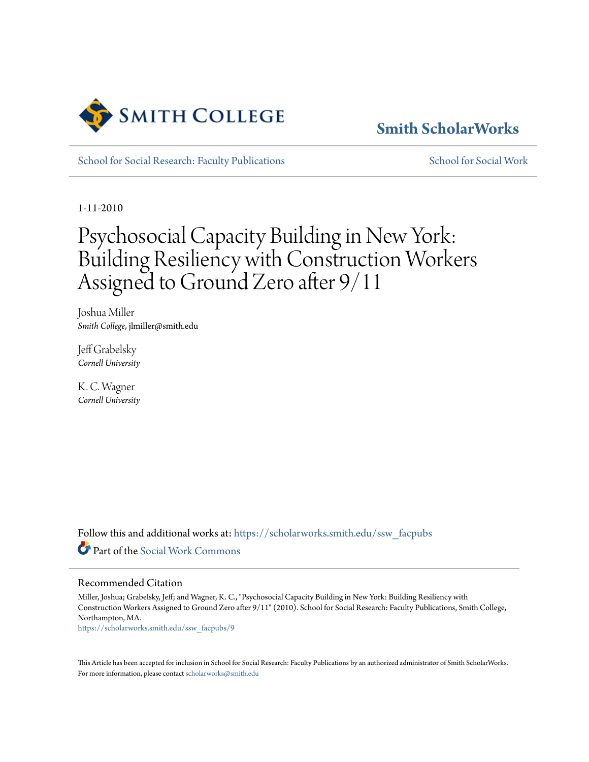

# **[Smith ScholarWorks](https://scholarworks.smith.edu/?utm_source=scholarworks.smith.edu%2Fssw_facpubs%2F9&utm_medium=PDF&utm_campaign=PDFCoverPages)**

[School for Social Research: Faculty Publications](https://scholarworks.smith.edu/ssw_facpubs?utm_source=scholarworks.smith.edu%2Fssw_facpubs%2F9&utm_medium=PDF&utm_campaign=PDFCoverPages) [School for Social Work](https://scholarworks.smith.edu/ssw?utm_source=scholarworks.smith.edu%2Fssw_facpubs%2F9&utm_medium=PDF&utm_campaign=PDFCoverPages)

1-11-2010

# Psychosocial Capacity Building in New York: Building Resiliency with Construction Workers Assigned to Ground Zero after 9/11

Joshua Miller *Smith College*, jlmiller@smith.edu

Jeff Grabelsky *Cornell University*

K. C. Wagner *Cornell University*

Follow this and additional works at: [https://scholarworks.smith.edu/ssw\\_facpubs](https://scholarworks.smith.edu/ssw_facpubs?utm_source=scholarworks.smith.edu%2Fssw_facpubs%2F9&utm_medium=PDF&utm_campaign=PDFCoverPages) Part of the [Social Work Commons](http://network.bepress.com/hgg/discipline/713?utm_source=scholarworks.smith.edu%2Fssw_facpubs%2F9&utm_medium=PDF&utm_campaign=PDFCoverPages)

#### Recommended Citation

Miller, Joshua; Grabelsky, Jeff; and Wagner, K. C., "Psychosocial Capacity Building in New York: Building Resiliency with Construction Workers Assigned to Ground Zero after 9/11" (2010). School for Social Research: Faculty Publications, Smith College, Northampton, MA.

[https://scholarworks.smith.edu/ssw\\_facpubs/9](https://scholarworks.smith.edu/ssw_facpubs/9?utm_source=scholarworks.smith.edu%2Fssw_facpubs%2F9&utm_medium=PDF&utm_campaign=PDFCoverPages)

This Article has been accepted for inclusion in School for Social Research: Faculty Publications by an authorized administrator of Smith ScholarWorks. For more information, please contact [scholarworks@smith.edu](mailto:scholarworks@smith.edu)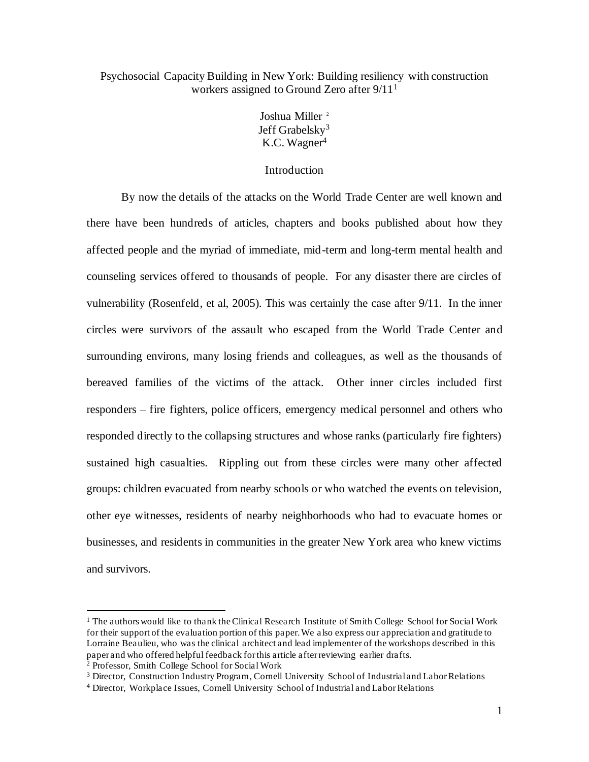# Psychosocial Capacity Building in New York: Building resiliency with construction workers assigned to Ground Zero after 9/11<sup>1</sup>

Joshua Miller<sup>2</sup> Jeff Grabelsky<sup>3</sup> K.C. Wagner<sup>4</sup>

### Introduction

By now the details of the attacks on the World Trade Center are well known and there have been hundreds of articles, chapters and books published about how they affected people and the myriad of immediate, mid-term and long-term mental health and counseling services offered to thousands of people. For any disaster there are circles of vulnerability (Rosenfeld, et al, 2005). This was certainly the case after 9/11. In the inner circles were survivors of the assault who escaped from the World Trade Center and surrounding environs, many losing friends and colleagues, as well as the thousands of bereaved families of the victims of the attack. Other inner circles included first responders – fire fighters, police officers, emergency medical personnel and others who responded directly to the collapsing structures and whose ranks (particularly fire fighters) sustained high casualties. Rippling out from these circles were many other affected groups: children evacuated from nearby schools or who watched the events on television, other eye witnesses, residents of nearby neighborhoods who had to evacuate homes or businesses, and residents in communities in the greater New York area who knew victims and survivors.

<sup>&</sup>lt;sup>1</sup> The authors would like to thank the Clinical Research Institute of Smith College School for Social Work for their support of the evaluation portion of this paper. We also express our appreciation and gratitude to Lorraine Beaulieu, who was the clinical architect and lead implementer of the workshops described in this paper and who offered helpful feedback for this article after reviewing earlier drafts.

<sup>2</sup> Professor, Smith College School for Social Work

<sup>&</sup>lt;sup>3</sup> Director, Construction Industry Program, Cornell University School of Industrial and Labor Relations

<sup>4</sup> Director, Workplace Issues, Cornell University School of Industrial and Labor Relations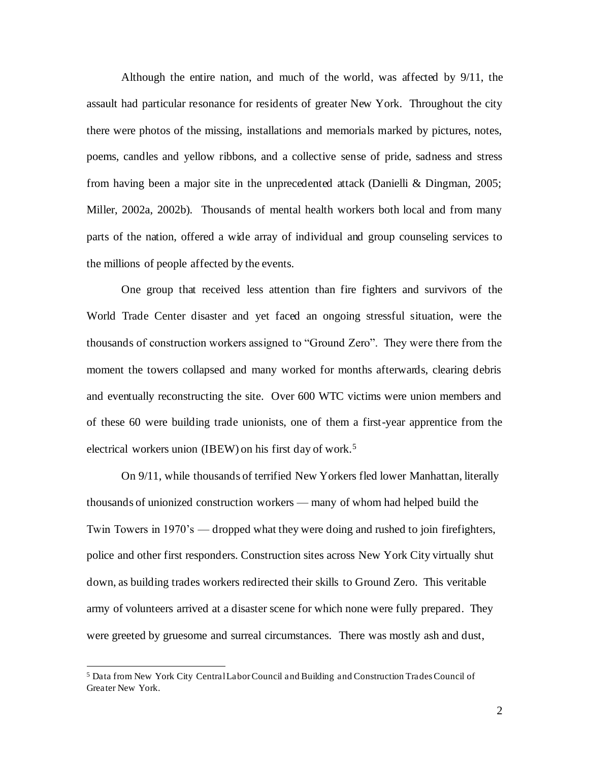Although the entire nation, and much of the world, was affected by 9/11, the assault had particular resonance for residents of greater New York. Throughout the city there were photos of the missing, installations and memorials marked by pictures, notes, poems, candles and yellow ribbons, and a collective sense of pride, sadness and stress from having been a major site in the unprecedented attack (Danielli & Dingman, 2005; Miller, 2002a, 2002b). Thousands of mental health workers both local and from many parts of the nation, offered a wide array of individual and group counseling services to the millions of people affected by the events.

One group that received less attention than fire fighters and survivors of the World Trade Center disaster and yet faced an ongoing stressful situation, were the thousands of construction workers assigned to "Ground Zero". They were there from the moment the towers collapsed and many worked for months afterwards, clearing debris and eventually reconstructing the site. Over 600 WTC victims were union members and of these 60 were building trade unionists, one of them a first-year apprentice from the electrical workers union (IBEW) on his first day of work.<sup>5</sup>

On 9/11, while thousands of terrified New Yorkers fled lower Manhattan, literally thousands of unionized construction workers — many of whom had helped build the Twin Towers in 1970's — dropped what they were doing and rushed to join firefighters, police and other first responders. Construction sites across New York City virtually shut down, as building trades workers redirected their skills to Ground Zero. This veritable army of volunteers arrived at a disaster scene for which none were fully prepared. They were greeted by gruesome and surreal circumstances. There was mostly ash and dust,

<sup>5</sup> Data from New York City Central Labor Council and Building and Construction Trades Council of Greater New York.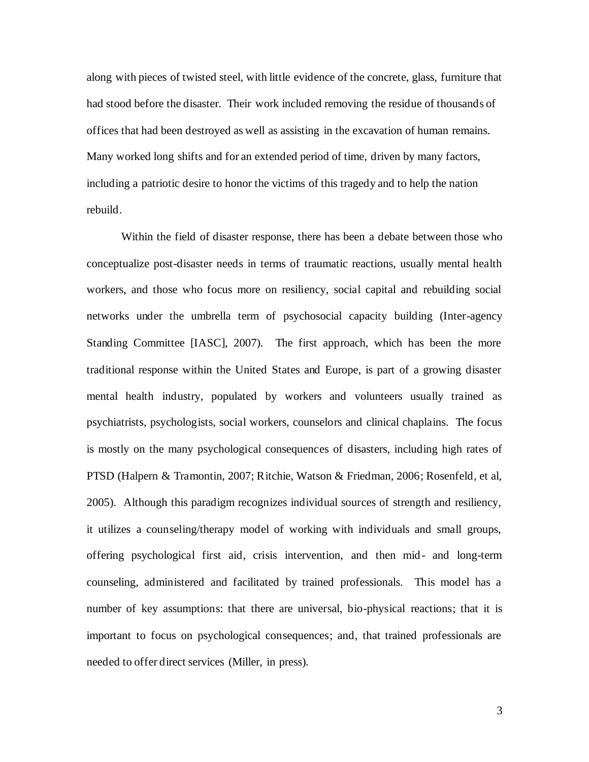along with pieces of twisted steel, with little evidence of the concrete, glass, furniture that had stood before the disaster. Their work included removing the residue of thousands of offices that had been destroyed as well as assisting in the excavation of human remains. Many worked long shifts and for an extended period of time, driven by many factors, including a patriotic desire to honor the victims of this tragedy and to help the nation rebuild.

Within the field of disaster response, there has been a debate between those who conceptualize post-disaster needs in terms of traumatic reactions, usually mental health workers, and those who focus more on resiliency, social capital and rebuilding social networks under the umbrella term of psychosocial capacity building (Inter-agency Standing Committee [IASC], 2007). The first approach, which has been the more traditional response within the United States and Europe, is part of a growing disaster mental health industry, populated by workers and volunteers usually trained as psychiatrists, psychologists, social workers, counselors and clinical chaplains. The focus is mostly on the many psychological consequences of disasters, including high rates of PTSD (Halpern & Tramontin, 2007; Ritchie, Watson & Friedman, 2006; Rosenfeld, et al, 2005). Although this paradigm recognizes individual sources of strength and resiliency, it utilizes a counseling/therapy model of working with individuals and small groups, offering psychological first aid, crisis intervention, and then mid- and long-term counseling, administered and facilitated by trained professionals. This model has a number of key assumptions: that there are universal, bio-physical reactions; that it is important to focus on psychological consequences; and, that trained professionals are needed to offer direct services (Miller, in press).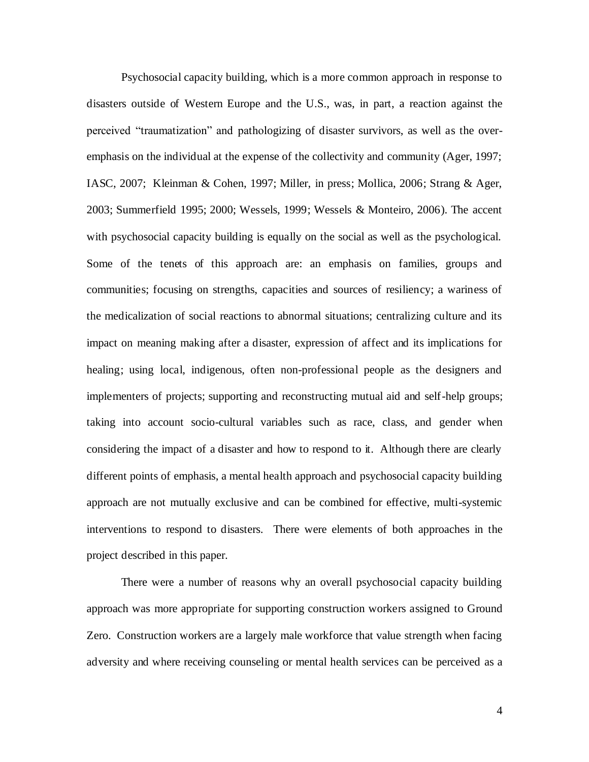Psychosocial capacity building, which is a more common approach in response to disasters outside of Western Europe and the U.S., was, in part, a reaction against the perceived "traumatization" and pathologizing of disaster survivors, as well as the overemphasis on the individual at the expense of the collectivity and community (Ager, 1997; IASC, 2007; Kleinman & Cohen, 1997; Miller, in press; Mollica, 2006; Strang & Ager, 2003; Summerfield 1995; 2000; Wessels, 1999; Wessels & Monteiro, 2006). The accent with psychosocial capacity building is equally on the social as well as the psychological. Some of the tenets of this approach are: an emphasis on families, groups and communities; focusing on strengths, capacities and sources of resiliency; a wariness of the medicalization of social reactions to abnormal situations; centralizing culture and its impact on meaning making after a disaster, expression of affect and its implications for healing; using local, indigenous, often non-professional people as the designers and implementers of projects; supporting and reconstructing mutual aid and self-help groups; taking into account socio-cultural variables such as race, class, and gender when considering the impact of a disaster and how to respond to it. Although there are clearly different points of emphasis, a mental health approach and psychosocial capacity building approach are not mutually exclusive and can be combined for effective, multi-systemic interventions to respond to disasters. There were elements of both approaches in the project described in this paper.

There were a number of reasons why an overall psychosocial capacity building approach was more appropriate for supporting construction workers assigned to Ground Zero. Construction workers are a largely male workforce that value strength when facing adversity and where receiving counseling or mental health services can be perceived as a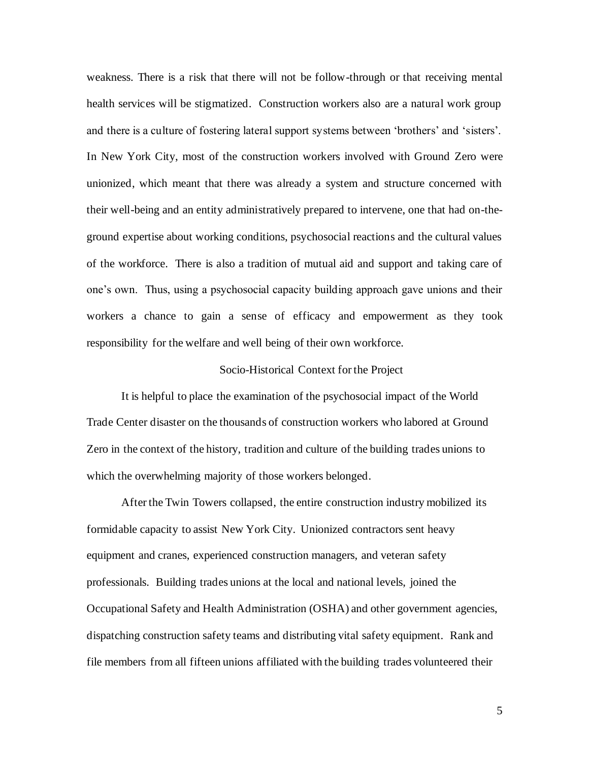weakness. There is a risk that there will not be follow-through or that receiving mental health services will be stigmatized. Construction workers also are a natural work group and there is a culture of fostering lateral support systems between 'brothers' and 'sisters'. In New York City, most of the construction workers involved with Ground Zero were unionized, which meant that there was already a system and structure concerned with their well-being and an entity administratively prepared to intervene, one that had on-theground expertise about working conditions, psychosocial reactions and the cultural values of the workforce. There is also a tradition of mutual aid and support and taking care of one's own. Thus, using a psychosocial capacity building approach gave unions and their workers a chance to gain a sense of efficacy and empowerment as they took responsibility for the welfare and well being of their own workforce.

# Socio-Historical Context for the Project

It is helpful to place the examination of the psychosocial impact of the World Trade Center disaster on the thousands of construction workers who labored at Ground Zero in the context of the history, tradition and culture of the building trades unions to which the overwhelming majority of those workers belonged.

After the Twin Towers collapsed, the entire construction industry mobilized its formidable capacity to assist New York City. Unionized contractors sent heavy equipment and cranes, experienced construction managers, and veteran safety professionals. Building trades unions at the local and national levels, joined the Occupational Safety and Health Administration (OSHA) and other government agencies, dispatching construction safety teams and distributing vital safety equipment. Rank and file members from all fifteen unions affiliated with the building trades volunteered their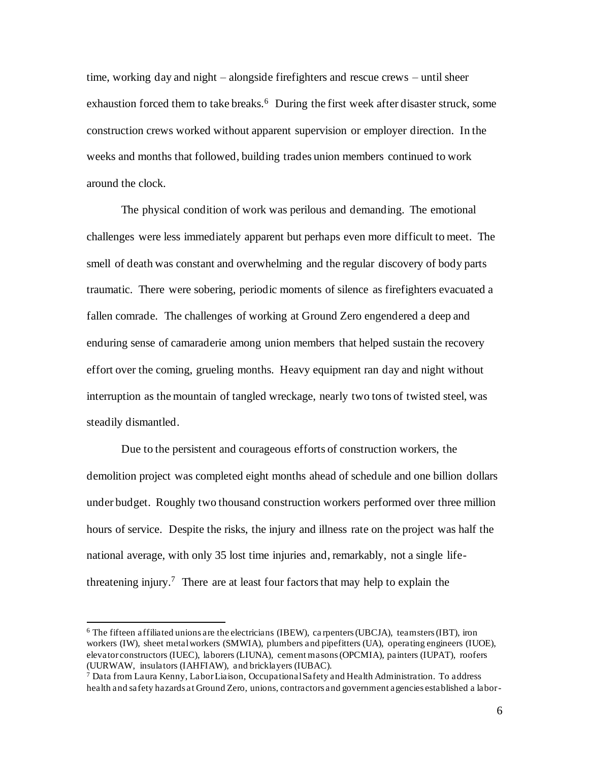time, working day and night – alongside firefighters and rescue crews – until sheer exhaustion forced them to take breaks.<sup>6</sup> During the first week after disaster struck, some construction crews worked without apparent supervision or employer direction. In the weeks and months that followed, building trades union members continued to work around the clock.

The physical condition of work was perilous and demanding. The emotional challenges were less immediately apparent but perhaps even more difficult to meet. The smell of death was constant and overwhelming and the regular discovery of body parts traumatic. There were sobering, periodic moments of silence as firefighters evacuated a fallen comrade. The challenges of working at Ground Zero engendered a deep and enduring sense of camaraderie among union members that helped sustain the recovery effort over the coming, grueling months. Heavy equipment ran day and night without interruption as the mountain of tangled wreckage, nearly two tons of twisted steel, was steadily dismantled.

Due to the persistent and courageous efforts of construction workers, the demolition project was completed eight months ahead of schedule and one billion dollars under budget. Roughly two thousand construction workers performed over three million hours of service. Despite the risks, the injury and illness rate on the project was half the national average, with only 35 lost time injuries and, remarkably, not a single lifethreatening injury.<sup>7</sup> There are at least four factors that may help to explain the

 $6$  The fifteen affiliated unions are the electricians (IBEW), carpenters (UBCJA), teamsters (IBT), iron workers (IW), sheet metal workers (SMWIA), plumbers and pipefitters (UA), operating engineers (IUOE), elevator constructors (IUEC), laborers (LIUNA), cement masons (OPCMIA), painters (IUPAT), roofers (UURWAW, insulators (IAHFIAW), and bricklayers (IUBAC).

<sup>7</sup> Data from Laura Kenny, Labor Liaison, Occupational Safety and Health Administration. To address health and safety hazards at Ground Zero, unions, contractors and government agencies established a labor-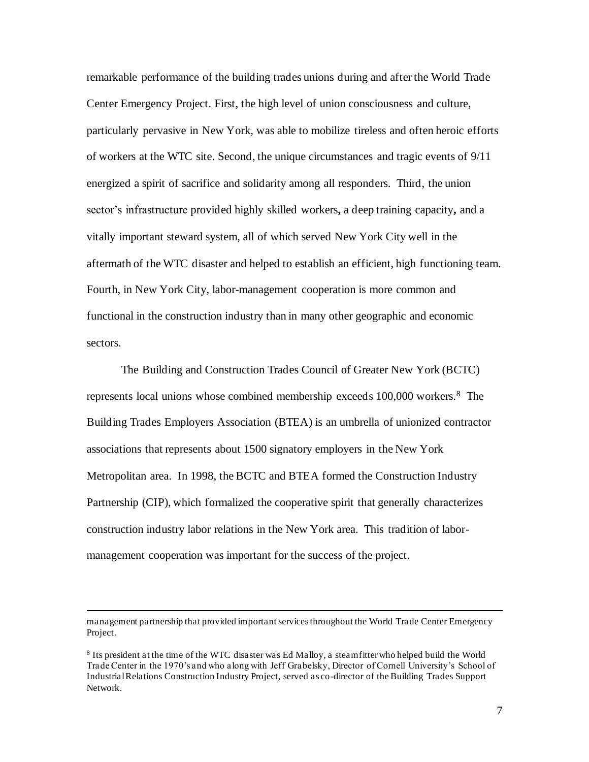remarkable performance of the building trades unions during and after the World Trade Center Emergency Project. First, the high level of union consciousness and culture, particularly pervasive in New York, was able to mobilize tireless and often heroic efforts of workers at the WTC site. Second, the unique circumstances and tragic events of 9/11 energized a spirit of sacrifice and solidarity among all responders. Third, the union sector's infrastructure provided highly skilled workers**,** a deep training capacity**,** and a vitally important steward system, all of which served New York City well in the aftermath of the WTC disaster and helped to establish an efficient, high functioning team. Fourth, in New York City, labor-management cooperation is more common and functional in the construction industry than in many other geographic and economic sectors.

The Building and Construction Trades Council of Greater New York (BCTC) represents local unions whose combined membership exceeds 100,000 workers.<sup>8</sup> The Building Trades Employers Association (BTEA) is an umbrella of unionized contractor associations that represents about 1500 signatory employers in the New York Metropolitan area. In 1998, the BCTC and BTEA formed the Construction Industry Partnership (CIP), which formalized the cooperative spirit that generally characterizes construction industry labor relations in the New York area. This tradition of labormanagement cooperation was important for the success of the project.

management partnership that provided important services throughout the World Trade Center Emergency Project.

<sup>&</sup>lt;sup>8</sup> Its president at the time of the WTC disaster was Ed Malloy, a steamfitter who helped build the World Trade Center in the 1970's and who along with Jeff Grabelsky, Director of Cornell University's School of Industrial Relations Construction Industry Project, served as co-director of the Building Trades Support Network.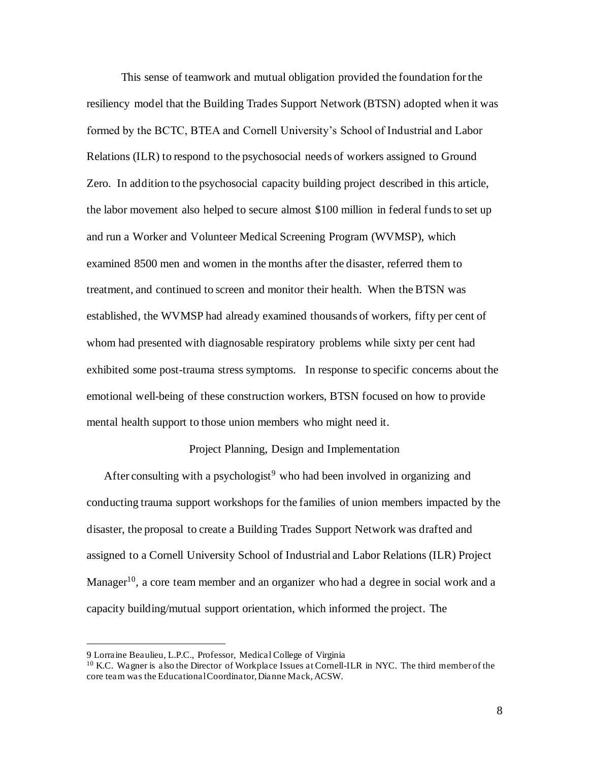This sense of teamwork and mutual obligation provided the foundation for the resiliency model that the Building Trades Support Network (BTSN) adopted when it was formed by the BCTC, BTEA and Cornell University's School of Industrial and Labor Relations (ILR) to respond to the psychosocial needs of workers assigned to Ground Zero. In addition to the psychosocial capacity building project described in this article, the labor movement also helped to secure almost \$100 million in federal funds to set up and run a Worker and Volunteer Medical Screening Program (WVMSP), which examined 8500 men and women in the months after the disaster, referred them to treatment, and continued to screen and monitor their health. When the BTSN was established, the WVMSP had already examined thousands of workers, fifty per cent of whom had presented with diagnosable respiratory problems while sixty per cent had exhibited some post-trauma stress symptoms. In response to specific concerns about the emotional well-being of these construction workers, BTSN focused on how to provide mental health support to those union members who might need it.

# Project Planning, Design and Implementation

After consulting with a psychologist<sup>9</sup> who had been involved in organizing and conducting trauma support workshops for the families of union members impacted by the disaster, the proposal to create a Building Trades Support Network was drafted and assigned to a Cornell University School of Industrial and Labor Relations (ILR) Project Manager<sup>10</sup>, a core team member and an organizer who had a degree in social work and a capacity building/mutual support orientation, which informed the project. The

<sup>9</sup> Lorraine Beaulieu, L.P.C., Professor, Medical College of Virginia

<sup>&</sup>lt;sup>10</sup> K.C. Wagner is also the Director of Workplace Issues at Cornell-ILR in NYC. The third member of the core team was the Educational Coordinator, Dianne Mack, ACSW.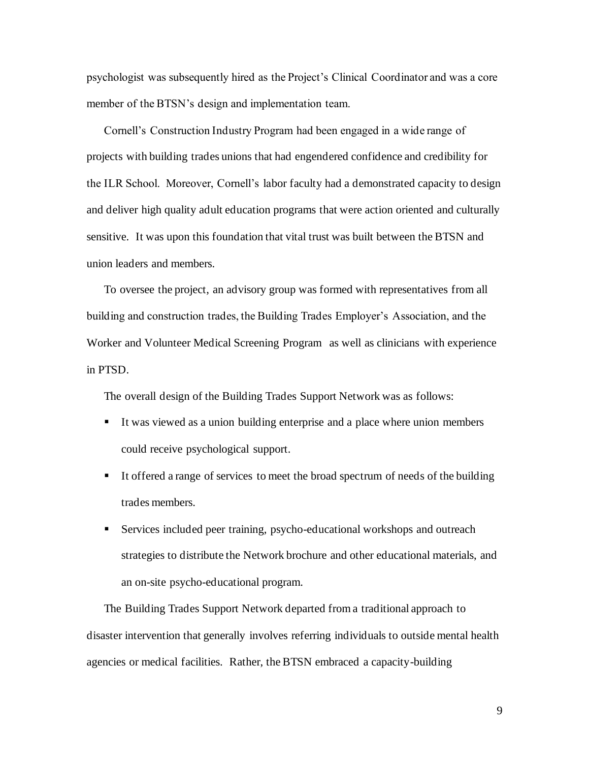psychologist was subsequently hired as the Project's Clinical Coordinator and was a core member of the BTSN's design and implementation team.

Cornell's Construction Industry Program had been engaged in a wide range of projects with building trades unions that had engendered confidence and credibility for the ILR School. Moreover, Cornell's labor faculty had a demonstrated capacity to design and deliver high quality adult education programs that were action oriented and culturally sensitive. It was upon this foundation that vital trust was built between the BTSN and union leaders and members.

To oversee the project, an advisory group was formed with representatives from all building and construction trades, the Building Trades Employer's Association, and the Worker and Volunteer Medical Screening Program as well as clinicians with experience in PTSD.

The overall design of the Building Trades Support Network was as follows:

- It was viewed as a union building enterprise and a place where union members could receive psychological support.
- It offered a range of services to meet the broad spectrum of needs of the building trades members.
- Services included peer training, psycho-educational workshops and outreach strategies to distribute the Network brochure and other educational materials, and an on-site psycho-educational program.

The Building Trades Support Network departed from a traditional approach to disaster intervention that generally involves referring individuals to outside mental health agencies or medical facilities. Rather, the BTSN embraced a capacity-building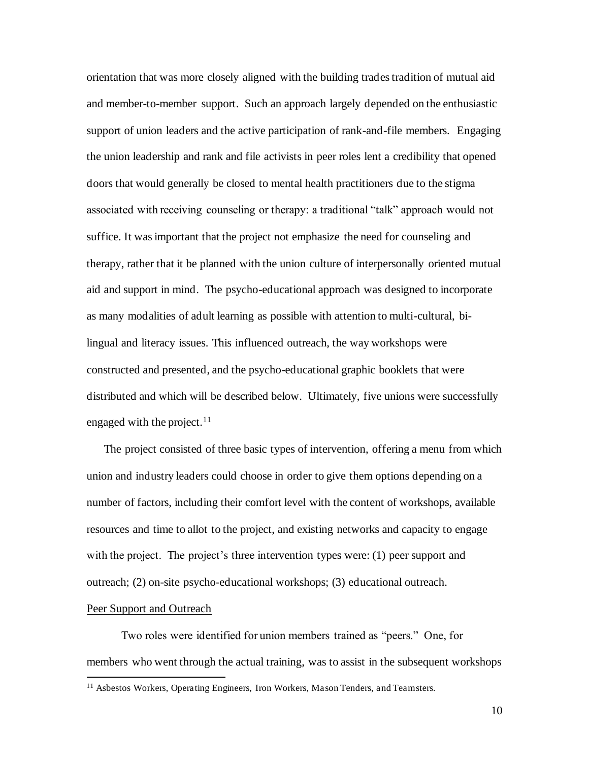orientation that was more closely aligned with the building trades tradition of mutual aid and member-to-member support. Such an approach largely depended on the enthusiastic support of union leaders and the active participation of rank-and-file members. Engaging the union leadership and rank and file activists in peer roles lent a credibility that opened doors that would generally be closed to mental health practitioners due to the stigma associated with receiving counseling or therapy: a traditional "talk" approach would not suffice. It was important that the project not emphasize the need for counseling and therapy, rather that it be planned with the union culture of interpersonally oriented mutual aid and support in mind. The psycho-educational approach was designed to incorporate as many modalities of adult learning as possible with attention to multi-cultural, bilingual and literacy issues. This influenced outreach, the way workshops were constructed and presented, and the psycho-educational graphic booklets that were distributed and which will be described below. Ultimately, five unions were successfully engaged with the project. $11$ 

The project consisted of three basic types of intervention, offering a menu from which union and industry leaders could choose in order to give them options depending on a number of factors, including their comfort level with the content of workshops, available resources and time to allot to the project, and existing networks and capacity to engage with the project. The project's three intervention types were: (1) peer support and outreach; (2) on-site psycho-educational workshops; (3) educational outreach.

# Peer Support and Outreach

Two roles were identified for union members trained as "peers." One, for members who went through the actual training, was to assist in the subsequent workshops

<sup>&</sup>lt;sup>11</sup> Asbestos Workers, Operating Engineers, Iron Workers, Mason Tenders, and Teamsters.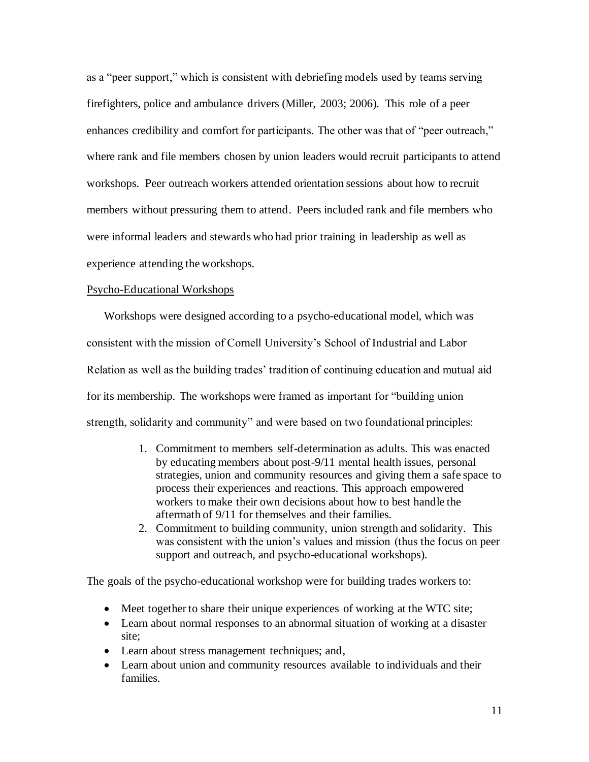as a "peer support," which is consistent with debriefing models used by teams serving firefighters, police and ambulance drivers (Miller, 2003; 2006). This role of a peer enhances credibility and comfort for participants. The other was that of "peer outreach," where rank and file members chosen by union leaders would recruit participants to attend workshops. Peer outreach workers attended orientation sessions about how to recruit members without pressuring them to attend. Peers included rank and file members who were informal leaders and stewards who had prior training in leadership as well as experience attending the workshops.

#### Psycho-Educational Workshops

Workshops were designed according to a psycho-educational model, which was consistent with the mission of Cornell University's School of Industrial and Labor Relation as well as the building trades' tradition of continuing education and mutual aid for its membership. The workshops were framed as important for "building union strength, solidarity and community" and were based on two foundational principles:

- 1. Commitment to members self-determination as adults. This was enacted by educating members about post-9/11 mental health issues, personal strategies, union and community resources and giving them a safe space to process their experiences and reactions. This approach empowered workers to make their own decisions about how to best handle the aftermath of 9/11 for themselves and their families.
- 2. Commitment to building community, union strength and solidarity. This was consistent with the union's values and mission (thus the focus on peer support and outreach, and psycho-educational workshops).

The goals of the psycho-educational workshop were for building trades workers to:

- Meet together to share their unique experiences of working at the WTC site;
- Learn about normal responses to an abnormal situation of working at a disaster site;
- Learn about stress management techniques; and,
- Learn about union and community resources available to individuals and their families.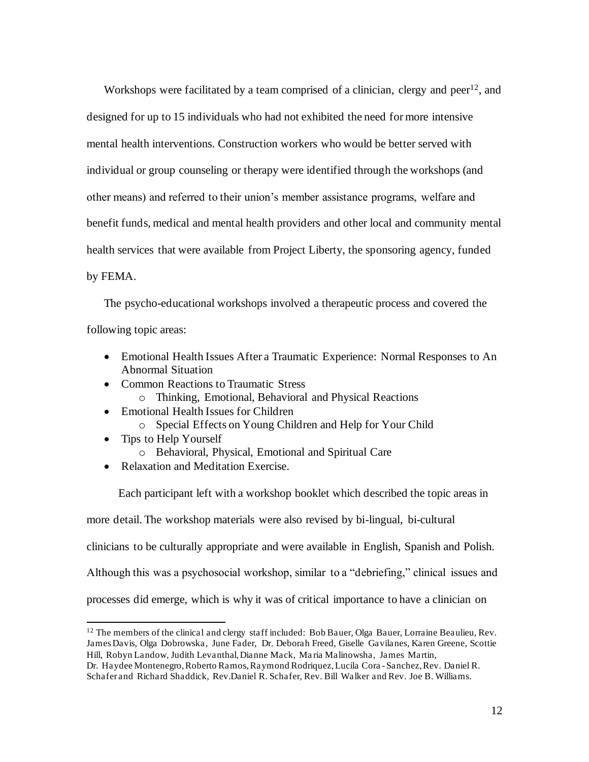Workshops were facilitated by a team comprised of a clinician, clergy and peer<sup>12</sup>, and designed for up to 15 individuals who had not exhibited the need for more intensive mental health interventions. Construction workers who would be better served with individual or group counseling or therapy were identified through the workshops (and other means) and referred to their union's member assistance programs, welfare and benefit funds, medical and mental health providers and other local and community mental health services that were available from Project Liberty, the sponsoring agency, funded by FEMA.

The psycho-educational workshops involved a therapeutic process and covered the following topic areas:

- Emotional Health Issues After a Traumatic Experience: Normal Responses to An Abnormal Situation
- Common Reactions to Traumatic Stress
	- o Thinking, Emotional, Behavioral and Physical Reactions
- Emotional Health Issues for Children o Special Effects on Young Children and Help for Your Child
- Tips to Help Yourself
	- o Behavioral, Physical, Emotional and Spiritual Care
- Relaxation and Meditation Exercise.

 Each participant left with a workshop booklet which described the topic areas in more detail. The workshop materials were also revised by bi-lingual, bi-cultural clinicians to be culturally appropriate and were available in English, Spanish and Polish. Although this was a psychosocial workshop, similar to a "debriefing," clinical issues and processes did emerge, which is why it was of critical importance to have a clinician on

<sup>&</sup>lt;sup>12</sup> The members of the clinical and clergy staff included: Bob Bauer, Olga Bauer, Lorraine Beaulieu, Rev. James Davis, Olga Dobrowska, June Fader, Dr. Deborah Freed, Giselle Gavilanes, Karen Greene, Scottie Hill, Robyn Landow, Judith Levanthal, Dianne Mack, Ma ria Malinowsha, James Martin,

Dr. Haydee Montenegro, Roberto Ramos, Raymond Rodriquez, Lucila Cora -Sanchez, Rev. Daniel R. Schafer and Richard Shaddick, Rev.Daniel R. Schafer, Rev. Bill Walker and Rev. Joe B. Williams.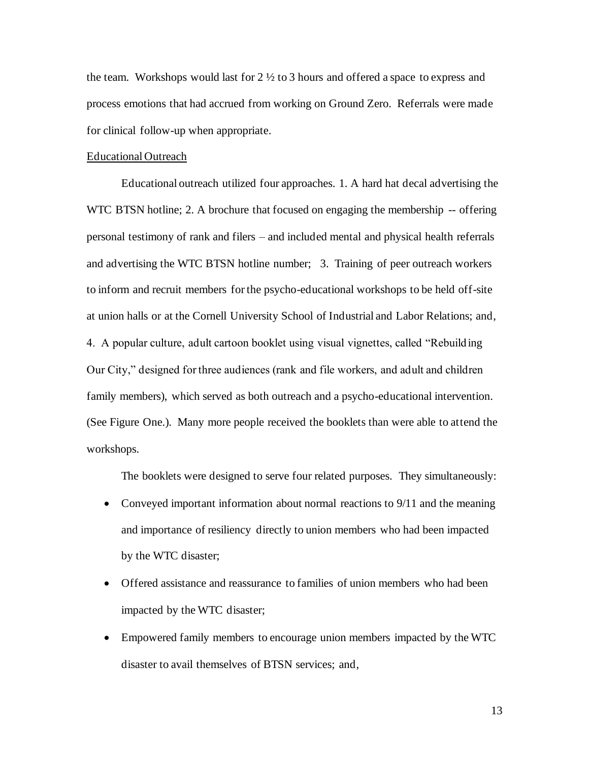the team. Workshops would last for  $2 \frac{1}{2}$  to 3 hours and offered a space to express and process emotions that had accrued from working on Ground Zero. Referrals were made for clinical follow-up when appropriate.

#### Educational Outreach

Educational outreach utilized four approaches. 1. A hard hat decal advertising the WTC BTSN hotline; 2. A brochure that focused on engaging the membership -- offering personal testimony of rank and filers – and included mental and physical health referrals and advertising the WTC BTSN hotline number; 3. Training of peer outreach workers to inform and recruit members for the psycho-educational workshops to be held off-site at union halls or at the Cornell University School of Industrial and Labor Relations; and, 4. A popular culture, adult cartoon booklet using visual vignettes, called "Rebuilding Our City," designed for three audiences (rank and file workers, and adult and children family members), which served as both outreach and a psycho-educational intervention. (See Figure One.). Many more people received the booklets than were able to attend the workshops.

The booklets were designed to serve four related purposes. They simultaneously:

- Conveyed important information about normal reactions to 9/11 and the meaning and importance of resiliency directly to union members who had been impacted by the WTC disaster;
- Offered assistance and reassurance to families of union members who had been impacted by the WTC disaster;
- Empowered family members to encourage union members impacted by the WTC disaster to avail themselves of BTSN services; and,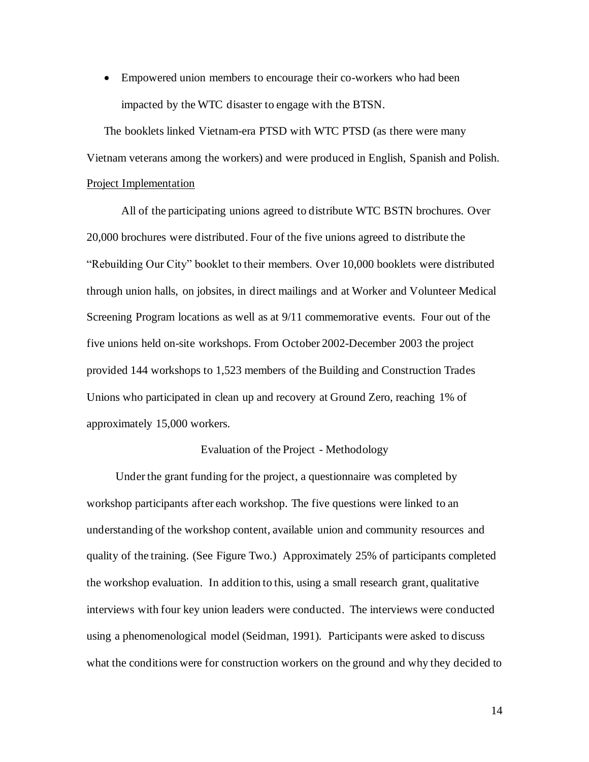• Empowered union members to encourage their co-workers who had been impacted by the WTC disaster to engage with the BTSN.

The booklets linked Vietnam-era PTSD with WTC PTSD (as there were many Vietnam veterans among the workers) and were produced in English, Spanish and Polish. Project Implementation

All of the participating unions agreed to distribute WTC BSTN brochures. Over 20,000 brochures were distributed. Four of the five unions agreed to distribute the "Rebuilding Our City" booklet to their members. Over 10,000 booklets were distributed through union halls, on jobsites, in direct mailings and at Worker and Volunteer Medical Screening Program locations as well as at 9/11 commemorative events. Four out of the five unions held on-site workshops. From October 2002-December 2003 the project provided 144 workshops to 1,523 members of the Building and Construction Trades Unions who participated in clean up and recovery at Ground Zero, reaching 1% of approximately 15,000 workers.

# Evaluation of the Project - Methodology

 Under the grant funding for the project, a questionnaire was completed by workshop participants after each workshop. The five questions were linked to an understanding of the workshop content, available union and community resources and quality of the training. (See Figure Two.) Approximately 25% of participants completed the workshop evaluation. In addition to this, using a small research grant, qualitative interviews with four key union leaders were conducted. The interviews were conducted using a phenomenological model (Seidman, 1991). Participants were asked to discuss what the conditions were for construction workers on the ground and why they decided to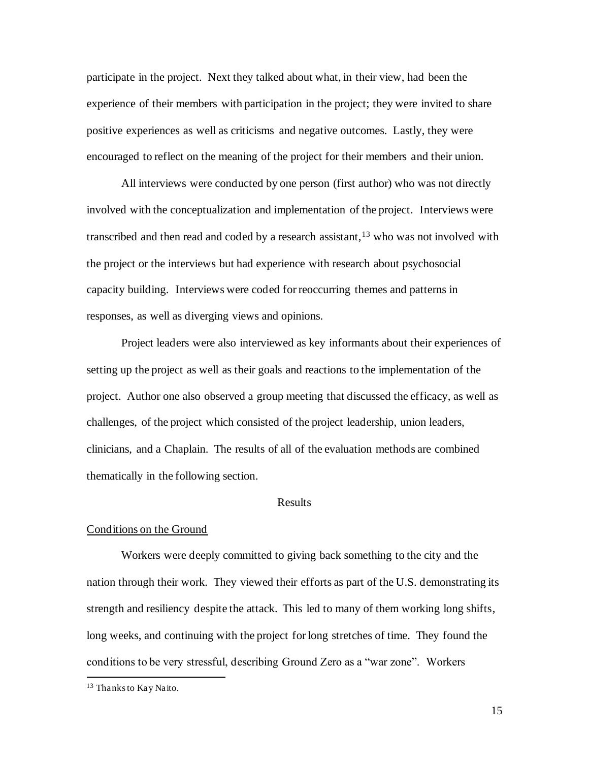participate in the project. Next they talked about what, in their view, had been the experience of their members with participation in the project; they were invited to share positive experiences as well as criticisms and negative outcomes. Lastly, they were encouraged to reflect on the meaning of the project for their members and their union.

All interviews were conducted by one person (first author) who was not directly involved with the conceptualization and implementation of the project. Interviews were transcribed and then read and coded by a research assistant,  $13$  who was not involved with the project or the interviews but had experience with research about psychosocial capacity building. Interviews were coded for reoccurring themes and patterns in responses, as well as diverging views and opinions.

Project leaders were also interviewed as key informants about their experiences of setting up the project as well as their goals and reactions to the implementation of the project. Author one also observed a group meeting that discussed the efficacy, as well as challenges, of the project which consisted of the project leadership, union leaders, clinicians, and a Chaplain. The results of all of the evaluation methods are combined thematically in the following section.

# Results

# Conditions on the Ground

Workers were deeply committed to giving back something to the city and the nation through their work. They viewed their efforts as part of the U.S. demonstrating its strength and resiliency despite the attack. This led to many of them working long shifts, long weeks, and continuing with the project for long stretches of time. They found the conditions to be very stressful, describing Ground Zero as a "war zone". Workers

<sup>13</sup> Thanks to Kay Naito.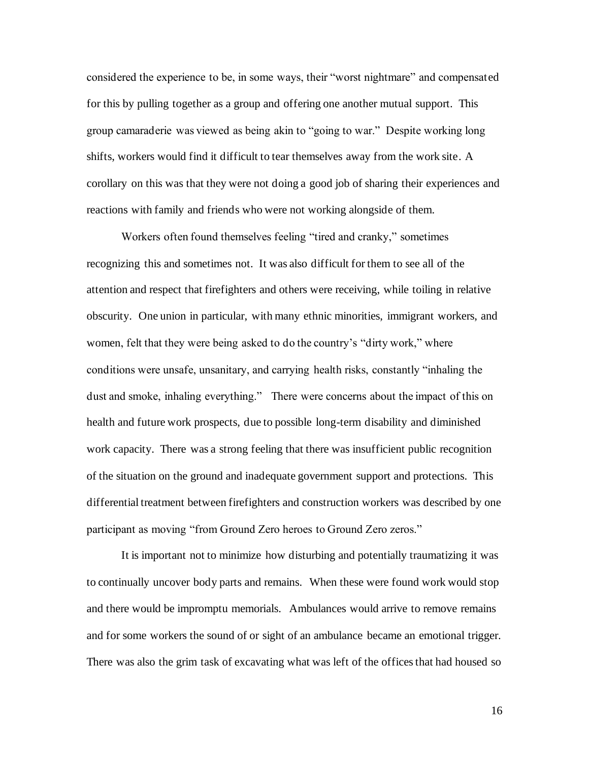considered the experience to be, in some ways, their "worst nightmare" and compensated for this by pulling together as a group and offering one another mutual support. This group camaraderie was viewed as being akin to "going to war." Despite working long shifts, workers would find it difficult to tear themselves away from the work site. A corollary on this was that they were not doing a good job of sharing their experiences and reactions with family and friends who were not working alongside of them.

Workers often found themselves feeling "tired and cranky," sometimes recognizing this and sometimes not. It was also difficult for them to see all of the attention and respect that firefighters and others were receiving, while toiling in relative obscurity. One union in particular, with many ethnic minorities, immigrant workers, and women, felt that they were being asked to do the country's "dirty work," where conditions were unsafe, unsanitary, and carrying health risks, constantly "inhaling the dust and smoke, inhaling everything." There were concerns about the impact of this on health and future work prospects, due to possible long-term disability and diminished work capacity. There was a strong feeling that there was insufficient public recognition of the situation on the ground and inadequate government support and protections. This differential treatment between firefighters and construction workers was described by one participant as moving "from Ground Zero heroes to Ground Zero zeros."

It is important not to minimize how disturbing and potentially traumatizing it was to continually uncover body parts and remains. When these were found work would stop and there would be impromptu memorials. Ambulances would arrive to remove remains and for some workers the sound of or sight of an ambulance became an emotional trigger. There was also the grim task of excavating what was left of the offices that had housed so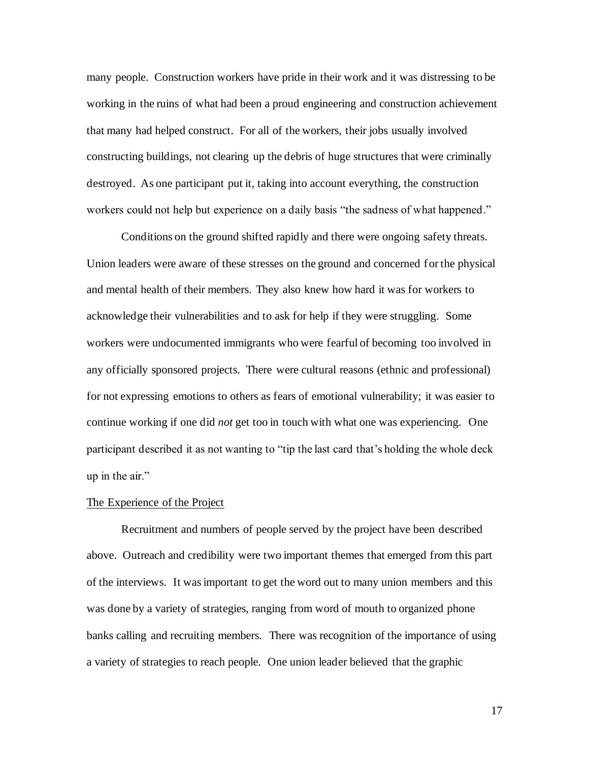many people. Construction workers have pride in their work and it was distressing to be working in the ruins of what had been a proud engineering and construction achievement that many had helped construct. For all of the workers, their jobs usually involved constructing buildings, not clearing up the debris of huge structures that were criminally destroyed. As one participant put it, taking into account everything, the construction workers could not help but experience on a daily basis "the sadness of what happened."

Conditions on the ground shifted rapidly and there were ongoing safety threats. Union leaders were aware of these stresses on the ground and concerned for the physical and mental health of their members. They also knew how hard it was for workers to acknowledge their vulnerabilities and to ask for help if they were struggling. Some workers were undocumented immigrants who were fearful of becoming too involved in any officially sponsored projects. There were cultural reasons (ethnic and professional) for not expressing emotions to others as fears of emotional vulnerability; it was easier to continue working if one did *not* get too in touch with what one was experiencing. One participant described it as not wanting to "tip the last card that's holding the whole deck up in the air."

# The Experience of the Project

Recruitment and numbers of people served by the project have been described above. Outreach and credibility were two important themes that emerged from this part of the interviews. It was important to get the word out to many union members and this was done by a variety of strategies, ranging from word of mouth to organized phone banks calling and recruiting members. There was recognition of the importance of using a variety of strategies to reach people. One union leader believed that the graphic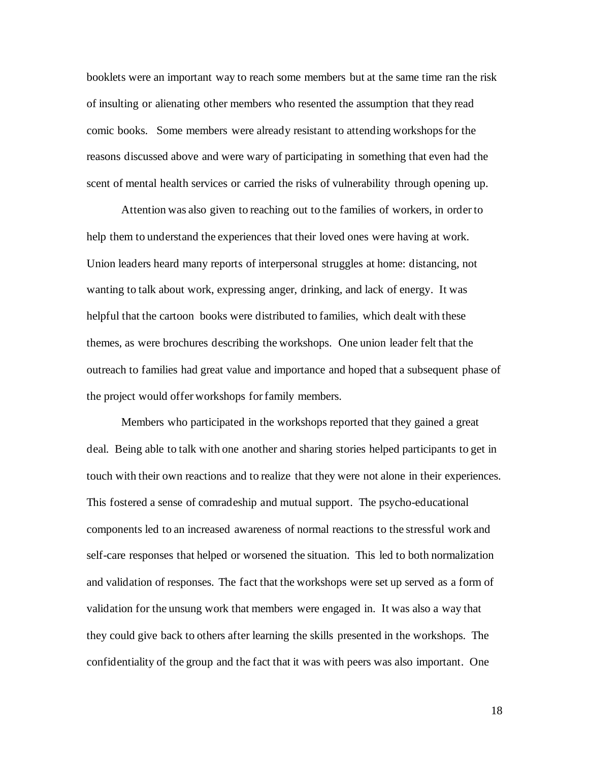booklets were an important way to reach some members but at the same time ran the risk of insulting or alienating other members who resented the assumption that they read comic books. Some members were already resistant to attending workshops for the reasons discussed above and were wary of participating in something that even had the scent of mental health services or carried the risks of vulnerability through opening up.

Attention was also given to reaching out to the families of workers, in order to help them to understand the experiences that their loved ones were having at work. Union leaders heard many reports of interpersonal struggles at home: distancing, not wanting to talk about work, expressing anger, drinking, and lack of energy. It was helpful that the cartoon books were distributed to families, which dealt with these themes, as were brochures describing the workshops. One union leader felt that the outreach to families had great value and importance and hoped that a subsequent phase of the project would offer workshops for family members.

Members who participated in the workshops reported that they gained a great deal. Being able to talk with one another and sharing stories helped participants to get in touch with their own reactions and to realize that they were not alone in their experiences. This fostered a sense of comradeship and mutual support. The psycho-educational components led to an increased awareness of normal reactions to the stressful work and self-care responses that helped or worsened the situation. This led to both normalization and validation of responses. The fact that the workshops were set up served as a form of validation for the unsung work that members were engaged in. It was also a way that they could give back to others after learning the skills presented in the workshops. The confidentiality of the group and the fact that it was with peers was also important. One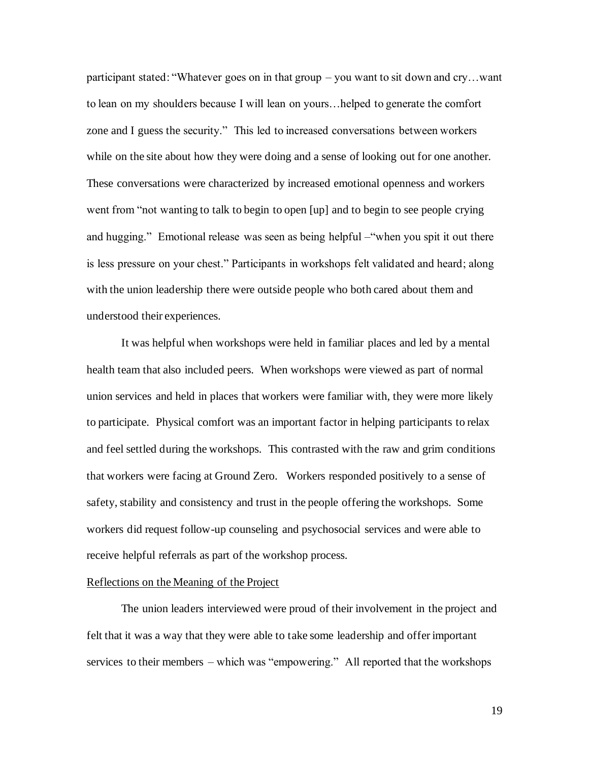participant stated: "Whatever goes on in that group – you want to sit down and cry…want to lean on my shoulders because I will lean on yours…helped to generate the comfort zone and I guess the security." This led to increased conversations between workers while on the site about how they were doing and a sense of looking out for one another. These conversations were characterized by increased emotional openness and workers went from "not wanting to talk to begin to open [up] and to begin to see people crying and hugging." Emotional release was seen as being helpful –"when you spit it out there is less pressure on your chest." Participants in workshops felt validated and heard; along with the union leadership there were outside people who both cared about them and understood their experiences.

It was helpful when workshops were held in familiar places and led by a mental health team that also included peers. When workshops were viewed as part of normal union services and held in places that workers were familiar with, they were more likely to participate. Physical comfort was an important factor in helping participants to relax and feel settled during the workshops. This contrasted with the raw and grim conditions that workers were facing at Ground Zero. Workers responded positively to a sense of safety, stability and consistency and trust in the people offering the workshops. Some workers did request follow-up counseling and psychosocial services and were able to receive helpful referrals as part of the workshop process.

#### Reflections on the Meaning of the Project

The union leaders interviewed were proud of their involvement in the project and felt that it was a way that they were able to take some leadership and offer important services to their members – which was "empowering." All reported that the workshops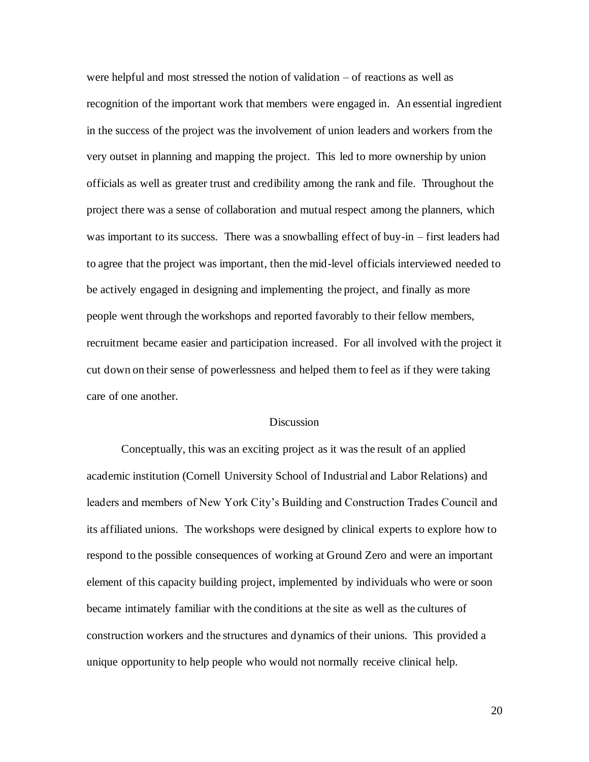were helpful and most stressed the notion of validation – of reactions as well as recognition of the important work that members were engaged in. An essential ingredient in the success of the project was the involvement of union leaders and workers from the very outset in planning and mapping the project. This led to more ownership by union officials as well as greater trust and credibility among the rank and file. Throughout the project there was a sense of collaboration and mutual respect among the planners, which was important to its success. There was a snowballing effect of buy-in – first leaders had to agree that the project was important, then the mid-level officials interviewed needed to be actively engaged in designing and implementing the project, and finally as more people went through the workshops and reported favorably to their fellow members, recruitment became easier and participation increased. For all involved with the project it cut down on their sense of powerlessness and helped them to feel as if they were taking care of one another.

# Discussion

Conceptually, this was an exciting project as it was the result of an applied academic institution (Cornell University School of Industrial and Labor Relations) and leaders and members of New York City's Building and Construction Trades Council and its affiliated unions. The workshops were designed by clinical experts to explore how to respond to the possible consequences of working at Ground Zero and were an important element of this capacity building project, implemented by individuals who were or soon became intimately familiar with the conditions at the site as well as the cultures of construction workers and the structures and dynamics of their unions. This provided a unique opportunity to help people who would not normally receive clinical help.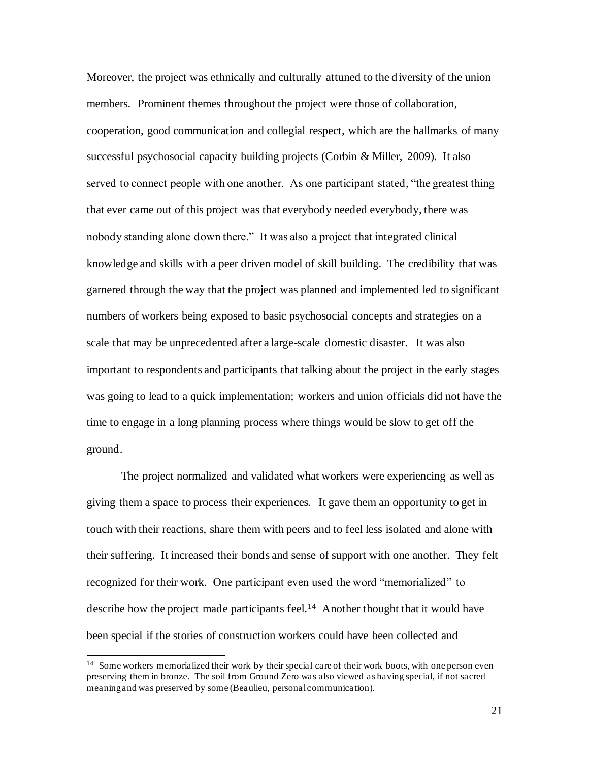Moreover, the project was ethnically and culturally attuned to the diversity of the union members. Prominent themes throughout the project were those of collaboration, cooperation, good communication and collegial respect, which are the hallmarks of many successful psychosocial capacity building projects (Corbin & Miller, 2009). It also served to connect people with one another. As one participant stated, "the greatest thing that ever came out of this project was that everybody needed everybody, there was nobody standing alone down there." It was also a project that integrated clinical knowledge and skills with a peer driven model of skill building. The credibility that was garnered through the way that the project was planned and implemented led to significant numbers of workers being exposed to basic psychosocial concepts and strategies on a scale that may be unprecedented after a large-scale domestic disaster. It was also important to respondents and participants that talking about the project in the early stages was going to lead to a quick implementation; workers and union officials did not have the time to engage in a long planning process where things would be slow to get off the ground.

The project normalized and validated what workers were experiencing as well as giving them a space to process their experiences. It gave them an opportunity to get in touch with their reactions, share them with peers and to feel less isolated and alone with their suffering. It increased their bonds and sense of support with one another. They felt recognized for their work. One participant even used the word "memorialized" to describe how the project made participants feel.<sup>14</sup> Another thought that it would have been special if the stories of construction workers could have been collected and

<sup>&</sup>lt;sup>14</sup> Some workers memorialized their work by their special care of their work boots, with one person even preserving them in bronze. The soil from Ground Zero was also viewed as having special, if not sacred meaning and was preserved by some (Beaulieu, personal communication).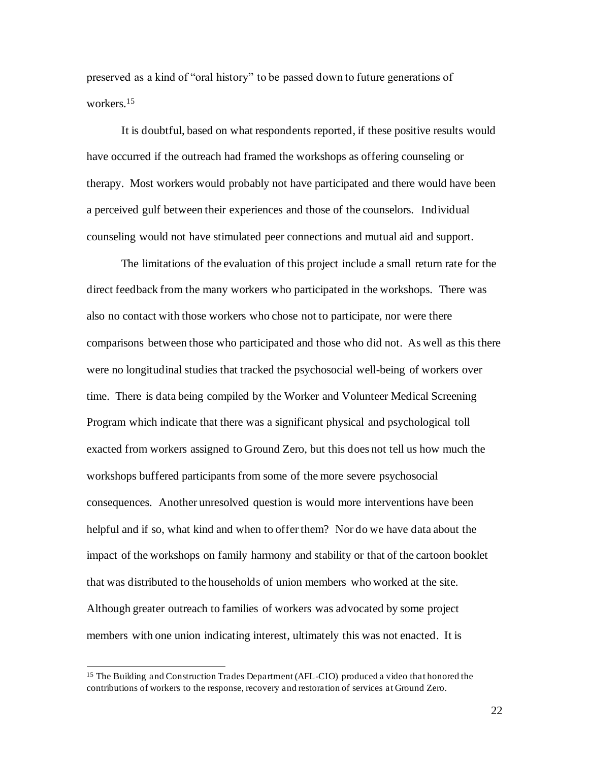preserved as a kind of "oral history" to be passed down to future generations of workers.<sup>15</sup>

It is doubtful, based on what respondents reported, if these positive results would have occurred if the outreach had framed the workshops as offering counseling or therapy. Most workers would probably not have participated and there would have been a perceived gulf between their experiences and those of the counselors. Individual counseling would not have stimulated peer connections and mutual aid and support.

The limitations of the evaluation of this project include a small return rate for the direct feedback from the many workers who participated in the workshops. There was also no contact with those workers who chose not to participate, nor were there comparisons between those who participated and those who did not. As well as this there were no longitudinal studies that tracked the psychosocial well-being of workers over time. There is data being compiled by the Worker and Volunteer Medical Screening Program which indicate that there was a significant physical and psychological toll exacted from workers assigned to Ground Zero, but this does not tell us how much the workshops buffered participants from some of the more severe psychosocial consequences. Another unresolved question is would more interventions have been helpful and if so, what kind and when to offer them? Nor do we have data about the impact of the workshops on family harmony and stability or that of the cartoon booklet that was distributed to the households of union members who worked at the site. Although greater outreach to families of workers was advocated by some project members with one union indicating interest, ultimately this was not enacted. It is

<sup>&</sup>lt;sup>15</sup> The Building and Construction Trades Department (AFL-CIO) produced a video that honored the contributions of workers to the response, recovery and restoration of services at Ground Zero.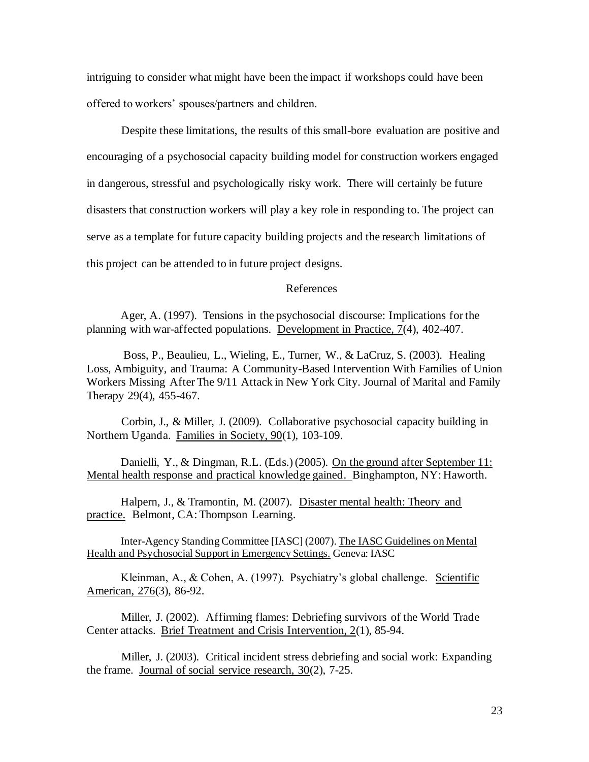intriguing to consider what might have been the impact if workshops could have been offered to workers' spouses/partners and children.

Despite these limitations, the results of this small-bore evaluation are positive and encouraging of a psychosocial capacity building model for construction workers engaged in dangerous, stressful and psychologically risky work. There will certainly be future disasters that construction workers will play a key role in responding to. The project can serve as a template for future capacity building projects and the research limitations of this project can be attended to in future project designs.

# References

Ager, A. (1997). Tensions in the psychosocial discourse: Implications for the planning with war-affected populations. Development in Practice, 7(4), 402-407.

Boss, P., Beaulieu, L., Wieling, E., Turner, W., & LaCruz, S. (2003). Healing Loss, Ambiguity, and Trauma: A Community-Based Intervention With Families of Union Workers Missing After The 9/11 Attack in New York City. Journal of Marital and Family Therapy 29(4), 455-467.

Corbin, J., & Miller, J. (2009). Collaborative psychosocial capacity building in Northern Uganda. Families in Society, 90(1), 103-109.

Danielli, Y., & Dingman, R.L. (Eds.) (2005). On the ground after September 11: Mental health response and practical knowledge gained. Binghampton, NY: Haworth.

Halpern, J., & Tramontin, M. (2007). Disaster mental health: Theory and practice. Belmont, CA: Thompson Learning.

Inter-Agency Standing Committee [IASC] (2007). The IASC Guidelines on Mental Health and Psychosocial Support in Emergency Settings. Geneva: IASC

Kleinman, A., & Cohen, A. (1997). Psychiatry's global challenge. Scientific American, 276(3), 86-92.

Miller, J. (2002). Affirming flames: Debriefing survivors of the World Trade Center attacks. Brief Treatment and Crisis Intervention, 2(1), 85-94.

Miller, J. (2003). Critical incident stress debriefing and social work: Expanding the frame. Journal of social service research, 30(2), 7-25.